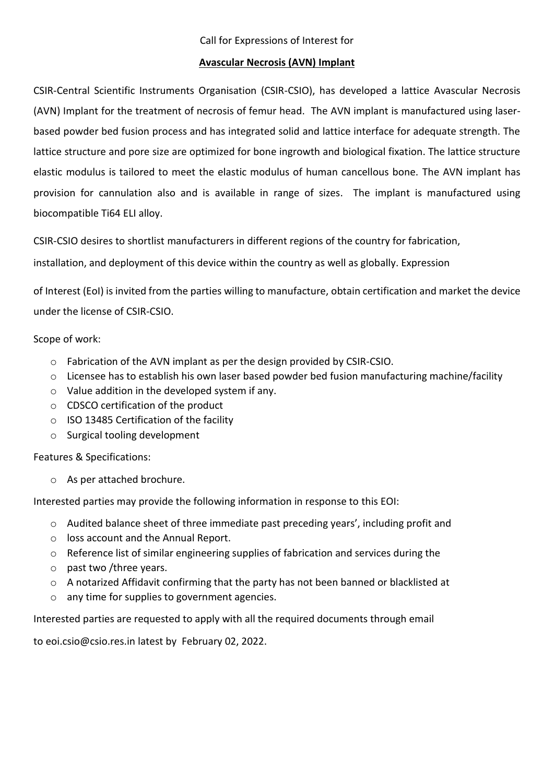#### **Avascular Necrosis (AVN) Implant**

CSIR-Central Scientific Instruments Organisation (CSIR-CSIO), has developed a lattice Avascular Necrosis (AVN) Implant for the treatment of necrosis of femur head. The AVN implant is manufactured using laserbased powder bed fusion process and has integrated solid and lattice interface for adequate strength. The lattice structure and pore size are optimized for bone ingrowth and biological fixation. The lattice structure elastic modulus is tailored to meet the elastic modulus of human cancellous bone. The AVN implant has provision for cannulation also and is available in range of sizes. The implant is manufactured using biocompatible Ti64 ELI alloy.

CSIR-CSIO desires to shortlist manufacturers in different regions of the country for fabrication,

installation, and deployment of this device within the country as well as globally. Expression

of Interest (EoI) is invited from the parties willing to manufacture, obtain certification and market the device under the license of CSIR-CSIO.

Scope of work:

- o Fabrication of the AVN implant as per the design provided by CSIR-CSIO.
- o Licensee has to establish his own laser based powder bed fusion manufacturing machine/facility
- o Value addition in the developed system if any.
- o CDSCO certification of the product
- o ISO 13485 Certification of the facility
- o Surgical tooling development

Features & Specifications:

o As per attached brochure.

Interested parties may provide the following information in response to this EOI:

- o Audited balance sheet of three immediate past preceding years', including profit and
- o loss account and the Annual Report.
- o Reference list of similar engineering supplies of fabrication and services during the
- o past two /three years.
- $\circ$  A notarized Affidavit confirming that the party has not been banned or blacklisted at
- o any time for supplies to government agencies.

Interested parties are requested to apply with all the required documents through email

to eoi.csio@csio.res.in latest by February 02, 2022.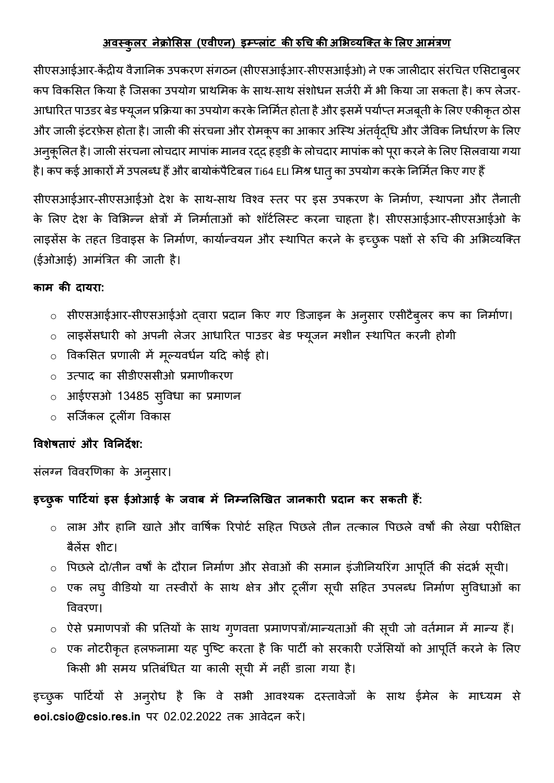#### **अवस्कुलर नेक्रोसिि (एवीएन) इम्पललांट की रुचि की असिव्यक्ति केसलए आमांत्रण**

सीएसआईआर-केंद्रीय वैज्ञानिक उपकरण संगठन (सीएसआईआर-सीएसआईओ) ने एक जालीदार संरचित एसिटाबुलर कप विकसित किया है जिसका उपयोग प्राथमिक के साथ-साथ संशोधन सर्जरी में भी किया जा सकता है। कप लेजर-आधारित पाउडर बेड फ्यूजन प्रक्रिया का उपयोग करके निर्मित होता है और इसमें पर्याप्त मजबूती के लिए एकीकृत ठोस और जाली इंटरफ़ेस होता है। जाली की संरचना और रोमकूप का आकार अस्थि अंतर्वृद्धि और जैविक निर्धारण के लिए अनुकूलित है। जाली संरचना लोचदार मापांक मानव रद्द हड्डी के लोचदार मापांक को पूरा करने के लिए सिलवाया गया है। कप कई आकारों में उपलब्ध हैं और बायोकंपैटिबल Ti64 ELI मिश्र धातु का उपयोग करके निर्मित किए गए हैं

सीएसआईआर-सीएसआईओ देश के साथ-साथ विश्व स्तर पर इस उपकरण के निर्माण, स्थापना और तैनाती के लिए देश के विभिन्न क्षेत्रों में निर्माताओं को शॉर्टलिस्ट करना चाहता है। सीएसआईआर-सीएसआईओ के लाइसेंस के तहत डिवाइस के निर्माण, कार्यान्वयन और स्थापित करने के इच्छुक पक्षों से रुचि की अभिव्यक्ति (ईओआई) आिंत्रत्रत की जाती है।

#### **कलम की दलयरल:**

- o सीएसआईआर-सीएसआईओ द्वारा प्रदाि ककए गए डडजाइि के अिुसार एसीटैबुलर कप का नििाजण।
- o लाइसेंसधारी को अपिी लेजर आधाररत पाउडर बेड फ्यूजि िशीि थथावपत करिी होगी
- o ववकससत प्रणाली िें िूल्यवधिज यटद कोई हो।
- o उत्पाद का सीडीएससीओ प्रिाणीकरण
- $\circ$  आईएसओ 13485 स्विधा का प्रमाणन
- o सजजजकल टूलींग ववकास

#### **ववशेषिलएां और ववननदेश:**

संलग्न विवरणिका के अनुसार।

### **इच्छुक पलर्टियलां इि ईओआई के जवलब में ननम्नसलखिि जलनकलरी प्रदलन कर िकिी हैं:**

- o लाभ और हानि खाते और वावषजक ररपोटज सटहत वपछले तीि तत्काल वपछले वषों की लेखा परीक्षक्षत बैलेंस शीट।
- o वपछले दो/तीि वषों के दौराि नििाजण और सेवाओं की सिाि इंजीनियररंग आपूनतज की संदभज सूिी।
- o एक लघु वीडडयो या तथवीरों के साथ क्षेत्र और टूलींग सूिी सटहत उपलब्ध नििाजण सुववधाओं का वववरण।
- o ऐसे प्रिाणपत्रों की प्रनतयों के साथ गुणवत्ता प्रिाणपत्रों/िान्यताओं की सूिी जो वतजिाि िें िान्य हैं।
- $\, \circ \,$  एक नोटरीकृत हलफनामा यह पुष्टि करता है कि पार्टी को सरकारी एजेंसियों को आपूर्ति करने के लिए किसी भी समय प्रतिबंधित या काली सूची में नहीं डाला गया है।

इच्छुक पार्टियों से अन्**रोध है कि वे सभी आवश्यक दस्तावेजों के** साथ ईमेल के माध्यम से eoi.csio@csio.res.in पर 02.02.2022 तक आवेदन करें।